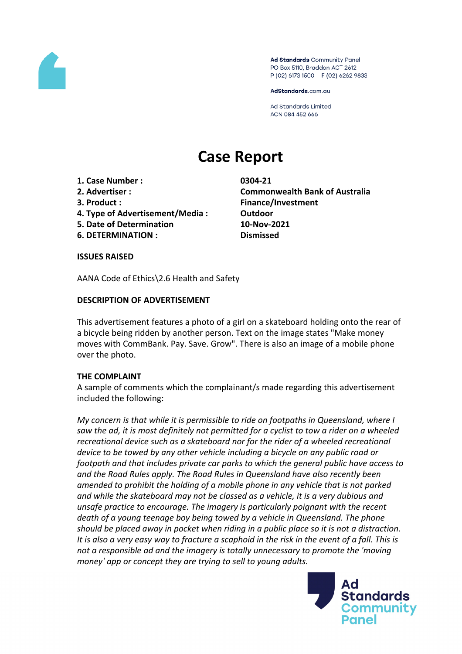

Ad Standards Community Panel PO Box 5110, Braddon ACT 2612 P (02) 6173 1500 | F (02) 6262 9833

AdStandards.com.au

**Ad Standards Limited** ACN 084 452 666

# **Case Report**

- **1. Case Number : 0304-21**
- 
- 
- **4. Type of Advertisement/Media : Outdoor**
- **5. Date of Determination 10-Nov-2021**
- **6. DETERMINATION : Dismissed**

**2. Advertiser : Commonwealth Bank of Australia 3. Product : Finance/Investment**

**ISSUES RAISED**

AANA Code of Ethics\2.6 Health and Safety

## **DESCRIPTION OF ADVERTISEMENT**

This advertisement features a photo of a girl on a skateboard holding onto the rear of a bicycle being ridden by another person. Text on the image states "Make money moves with CommBank. Pay. Save. Grow". There is also an image of a mobile phone over the photo.

### **THE COMPLAINT**

A sample of comments which the complainant/s made regarding this advertisement included the following:

*My concern is that while it is permissible to ride on footpaths in Queensland, where I saw the ad, it is most definitely not permitted for a cyclist to tow a rider on a wheeled recreational device such as a skateboard nor for the rider of a wheeled recreational device to be towed by any other vehicle including a bicycle on any public road or footpath and that includes private car parks to which the general public have access to and the Road Rules apply. The Road Rules in Queensland have also recently been amended to prohibit the holding of a mobile phone in any vehicle that is not parked and while the skateboard may not be classed as a vehicle, it is a very dubious and unsafe practice to encourage. The imagery is particularly poignant with the recent death of a young teenage boy being towed by a vehicle in Queensland. The phone should be placed away in pocket when riding in a public place so it is not a distraction.* It is also a very easy way to fracture a scaphoid in the risk in the event of a fall. This is *not a responsible ad and the imagery is totally unnecessary to promote the 'moving money' app or concept they are trying to sell to young adults.*

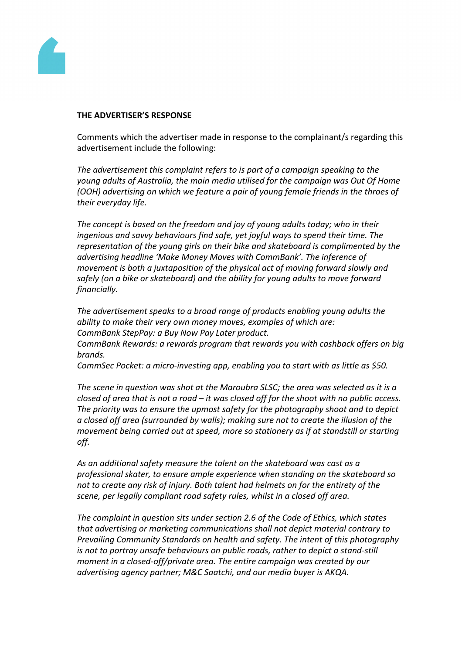

#### **THE ADVERTISER'S RESPONSE**

Comments which the advertiser made in response to the complainant/s regarding this advertisement include the following:

*The advertisement this complaint refers to is part of a campaign speaking to the young adults of Australia, the main media utilised for the campaign was Out Of Home (OOH) advertising on which we feature a pair of young female friends in the throes of their everyday life.*

*The concept is based on the freedom and joy of young adults today; who in their ingenious and savvy behaviours find safe, yet joyful ways to spend their time. The representation of the young girls on their bike and skateboard is complimented by the advertising headline 'Make Money Moves with CommBank'. The inference of movement is both a juxtaposition of the physical act of moving forward slowly and safely (on a bike or skateboard) and the ability for young adults to move forward financially.*

*The advertisement speaks to a broad range of products enabling young adults the ability to make their very own money moves, examples of which are: CommBank StepPay: a Buy Now Pay Later product.*

*CommBank Rewards: a rewards program that rewards you with cashback offers on big brands.*

*CommSec Pocket: a micro-investing app, enabling you to start with as little as \$50.*

*The scene in question was shot at the Maroubra SLSC; the area was selected as it is a* closed of area that is not a road  $-$  it was closed off for the shoot with no public access. *The priority was to ensure the upmost safety for the photography shoot and to depict a closed off area (surrounded by walls); making sure not to create the illusion of the movement being carried out at speed, more so stationery as if at standstill or starting off.*

*As an additional safety measure the talent on the skateboard was cast as a professional skater, to ensure ample experience when standing on the skateboard so not to create any risk of injury. Both talent had helmets on for the entirety of the scene, per legally compliant road safety rules, whilst in a closed off area.* 

*The complaint in question sits under section 2.6 of the Code of Ethics, which states that advertising or marketing communications shall not depict material contrary to Prevailing Community Standards on health and safety. The intent of this photography is not to portray unsafe behaviours on public roads, rather to depict a stand-still moment in a closed-off/private area. The entire campaign was created by our advertising agency partner; M&C Saatchi, and our media buyer is AKQA.*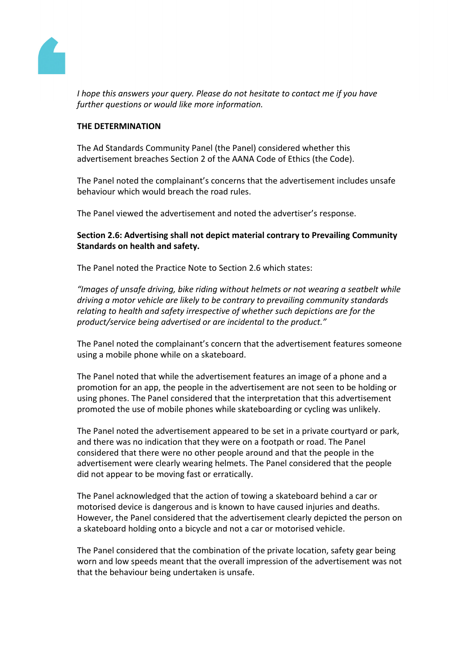

*I hope this answers your query. Please do not hesitate to contact me if you have further questions or would like more information.*

#### **THE DETERMINATION**

The Ad Standards Community Panel (the Panel) considered whether this advertisement breaches Section 2 of the AANA Code of Ethics (the Code).

The Panel noted the complainant's concerns that the advertisement includes unsafe behaviour which would breach the road rules.

The Panel viewed the advertisement and noted the advertiser's response.

## **Section 2.6: Advertising shall not depict material contrary to Prevailing Community Standards on health and safety.**

The Panel noted the Practice Note to Section 2.6 which states:

*"Images of unsafe driving, bike riding without helmets or not wearing a seatbelt while driving a motor vehicle are likely to be contrary to prevailing community standards relating to health and safety irrespective of whether such depictions are for the product/service being advertised or are incidental to the product."*

The Panel noted the complainant's concern that the advertisement features someone using a mobile phone while on a skateboard.

The Panel noted that while the advertisement features an image of a phone and a promotion for an app, the people in the advertisement are not seen to be holding or using phones. The Panel considered that the interpretation that this advertisement promoted the use of mobile phones while skateboarding or cycling was unlikely.

The Panel noted the advertisement appeared to be set in a private courtyard or park, and there was no indication that they were on a footpath or road. The Panel considered that there were no other people around and that the people in the advertisement were clearly wearing helmets. The Panel considered that the people did not appear to be moving fast or erratically.

The Panel acknowledged that the action of towing a skateboard behind a car or motorised device is dangerous and is known to have caused injuries and deaths. However, the Panel considered that the advertisement clearly depicted the person on a skateboard holding onto a bicycle and not a car or motorised vehicle.

The Panel considered that the combination of the private location, safety gear being worn and low speeds meant that the overall impression of the advertisement was not that the behaviour being undertaken is unsafe.